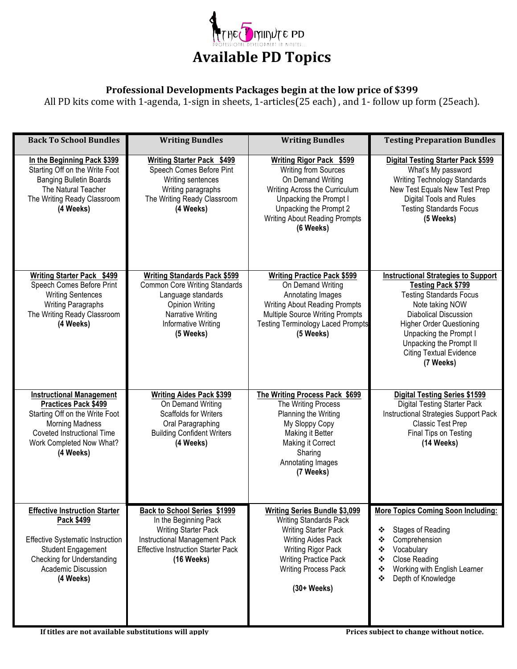

## Professional Developments Packages begin at the low price of \$399

All PD kits come with 1-agenda, 1-sign in sheets, 1-articles(25 each), and 1- follow up form (25each).

| <b>Back To School Bundles</b>                                                                                                                                                                       | <b>Writing Bundles</b>                                                                                                                                                               | <b>Writing Bundles</b>                                                                                                                                                                                                                         | <b>Testing Preparation Bundles</b>                                                                                                                                                                                                                                                                  |
|-----------------------------------------------------------------------------------------------------------------------------------------------------------------------------------------------------|--------------------------------------------------------------------------------------------------------------------------------------------------------------------------------------|------------------------------------------------------------------------------------------------------------------------------------------------------------------------------------------------------------------------------------------------|-----------------------------------------------------------------------------------------------------------------------------------------------------------------------------------------------------------------------------------------------------------------------------------------------------|
| In the Beginning Pack \$399<br>Starting Off on the Write Foot<br><b>Banging Bulletin Boards</b><br>The Natural Teacher<br>The Writing Ready Classroom<br>(4 Weeks)                                  | Writing Starter Pack \$499<br>Speech Comes Before Pint<br>Writing sentences<br>Writing paragraphs<br>The Writing Ready Classroom<br>(4 Weeks)                                        | <b>Writing Rigor Pack \$599</b><br><b>Writing from Sources</b><br>On Demand Writing<br>Writing Across the Curriculum<br>Unpacking the Prompt I<br>Unpacking the Prompt 2<br><b>Writing About Reading Prompts</b><br>(6 Weeks)                  | <b>Digital Testing Starter Pack \$599</b><br>What's My password<br>Writing Technology Standards<br>New Test Equals New Test Prep<br>Digital Tools and Rules<br><b>Testing Standards Focus</b><br>(5 Weeks)                                                                                          |
| Writing Starter Pack \$499<br>Speech Comes Before Print<br><b>Writing Sentences</b><br><b>Writing Paragraphs</b><br>The Writing Ready Classroom<br>(4 Weeks)                                        | <b>Writing Standards Pack \$599</b><br><b>Common Core Writing Standards</b><br>Language standards<br><b>Opinion Writing</b><br>Narrative Writing<br>Informative Writing<br>(5 Weeks) | <b>Writing Practice Pack \$599</b><br>On Demand Writing<br>Annotating Images<br><b>Writing About Reading Prompts</b><br><b>Multiple Source Writing Prompts</b><br><b>Testing Terminology Laced Prompts</b><br>(5 Weeks)                        | <b>Instructional Strategies to Support</b><br><b>Testing Pack \$799</b><br><b>Testing Standards Focus</b><br>Note taking NOW<br><b>Diabolical Discussion</b><br><b>Higher Order Questioning</b><br>Unpacking the Prompt I<br>Unpacking the Prompt II<br><b>Citing Textual Evidence</b><br>(7 Weeks) |
| <b>Instructional Management</b><br>Practices Pack \$499<br>Starting Off on the Write Foot<br><b>Morning Madness</b><br>Coveted Instructional Time<br>Work Completed Now What?<br>(4 Weeks)          | <b>Writing Aides Pack \$399</b><br>On Demand Writing<br>Scaffolds for Writers<br>Oral Paragraphing<br><b>Building Confident Writers</b><br>(4 Weeks)                                 | The Writing Process Pack \$699<br>The Writing Process<br>Planning the Writing<br>My Sloppy Copy<br>Making it Better<br>Making it Correct<br>Sharing<br>Annotating Images<br>(7 Weeks)                                                          | <b>Digital Testing Series \$1599</b><br><b>Digital Testing Starter Pack</b><br>Instructional Strategies Support Pack<br>Classic Test Prep<br>Final Tips on Testing<br>(14 Weeks)                                                                                                                    |
| <b>Effective Instruction Starter</b><br>Pack \$499<br><b>Effective Systematic Instruction</b><br><b>Student Engagement</b><br><b>Checking for Understanding</b><br>Academic Discussion<br>(4 Weeks) | Back to School Series \$1999<br>In the Beginning Pack<br><b>Writing Starter Pack</b><br>Instructional Management Pack<br><b>Effective Instruction Starter Pack</b><br>$(16$ Weeks)   | <b>Writing Series Bundle \$3,099</b><br><b>Writing Standards Pack</b><br><b>Writing Starter Pack</b><br><b>Writing Aides Pack</b><br>Writing Rigor Pack<br><b>Writing Practice Pack</b><br><b>Writing Process Pack</b><br>$(30+ \text{Weeks})$ | More Topics Coming Soon Including:<br><b>Stages of Reading</b><br>❖<br>٠<br>Comprehension<br>Vocabulary<br>❖<br><b>Close Reading</b><br>❖<br>Working with English Learner<br>❖<br>Depth of Knowledge<br>❖                                                                                           |